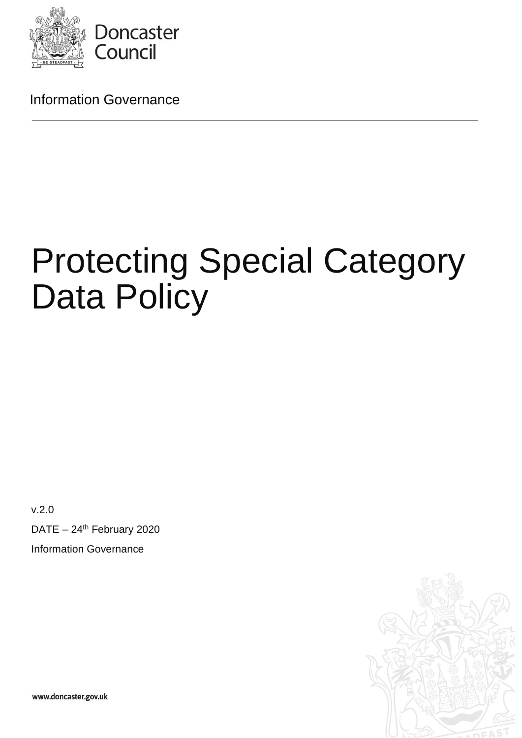

Information Governance

# Protecting Special Category Data Policy

v.2.0

DATE  $-24$ <sup>th</sup> February 2020 Information Governance

www.doncaster.gov.uk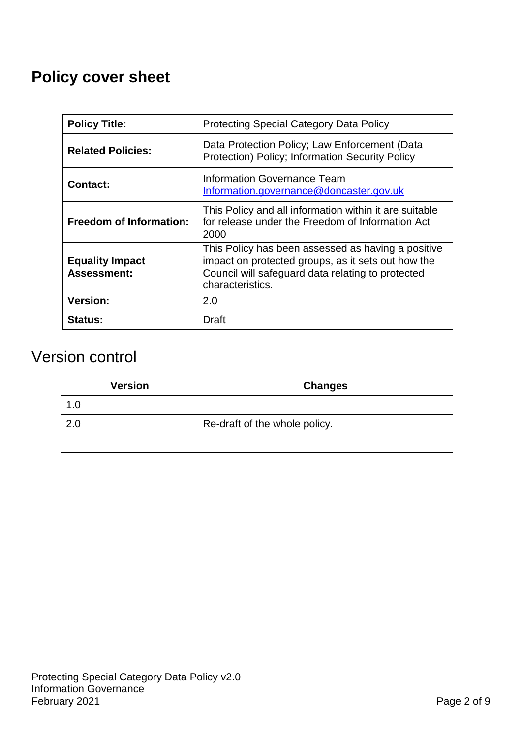## **Policy cover sheet**

| <b>Policy Title:</b>                         | <b>Protecting Special Category Data Policy</b>                                                                                                                                    |
|----------------------------------------------|-----------------------------------------------------------------------------------------------------------------------------------------------------------------------------------|
| <b>Related Policies:</b>                     | Data Protection Policy; Law Enforcement (Data<br>Protection) Policy; Information Security Policy                                                                                  |
| <b>Contact:</b>                              | Information Governance Team<br>Information.governance@doncaster.gov.uk                                                                                                            |
| <b>Freedom of Information:</b>               | This Policy and all information within it are suitable<br>for release under the Freedom of Information Act<br>2000                                                                |
| <b>Equality Impact</b><br><b>Assessment:</b> | This Policy has been assessed as having a positive<br>impact on protected groups, as it sets out how the<br>Council will safeguard data relating to protected<br>characteristics. |
| <b>Version:</b>                              | 2.0                                                                                                                                                                               |
| <b>Status:</b>                               | Draft                                                                                                                                                                             |

## Version control

| <b>Version</b> | <b>Changes</b>                |
|----------------|-------------------------------|
| 1.0            |                               |
| 2.0            | Re-draft of the whole policy. |
|                |                               |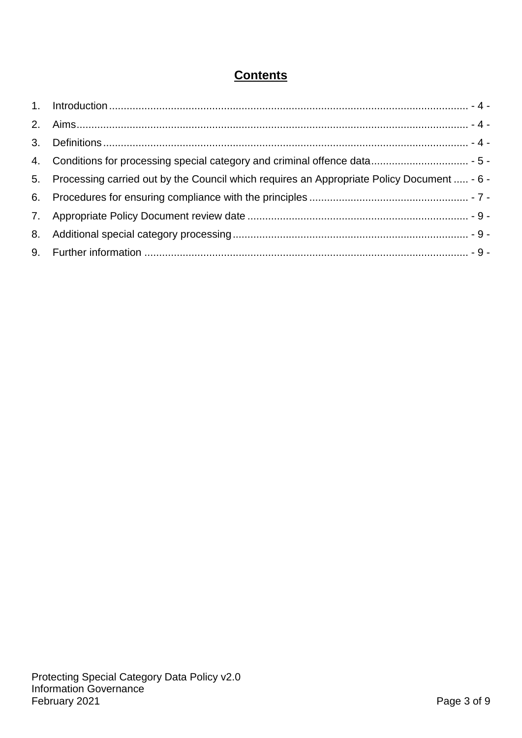### **Contents**

| 5. Processing carried out by the Council which requires an Appropriate Policy Document  - 6 - |  |
|-----------------------------------------------------------------------------------------------|--|
|                                                                                               |  |
|                                                                                               |  |
|                                                                                               |  |
|                                                                                               |  |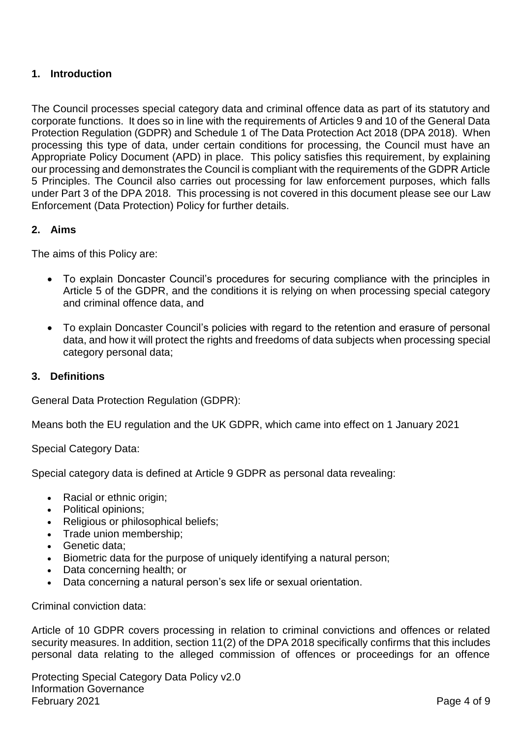#### <span id="page-3-0"></span>**1. Introduction**

The Council processes special category data and criminal offence data as part of its statutory and corporate functions. It does so in line with the requirements of Articles 9 and 10 of the General Data Protection Regulation (GDPR) and Schedule 1 of The Data Protection Act 2018 (DPA 2018). When processing this type of data, under certain conditions for processing, the Council must have an Appropriate Policy Document (APD) in place. This policy satisfies this requirement, by explaining our processing and demonstrates the Council is compliant with the requirements of the GDPR Article 5 Principles. The Council also carries out processing for law enforcement purposes, which falls under Part 3 of the DPA 2018. This processing is not covered in this document please see our Law Enforcement (Data Protection) Policy for further details.

#### <span id="page-3-1"></span>**2. Aims**

The aims of this Policy are:

- To explain Doncaster Council's procedures for securing compliance with the principles in Article 5 of the GDPR, and the conditions it is relying on when processing special category and criminal offence data, and
- To explain Doncaster Council's policies with regard to the retention and erasure of personal data, and how it will protect the rights and freedoms of data subjects when processing special category personal data;

#### <span id="page-3-2"></span>**3. Definitions**

General Data Protection Regulation (GDPR):

Means both the EU regulation and the UK GDPR, which came into effect on 1 January 2021

Special Category Data:

Special category data is defined at Article 9 GDPR as personal data revealing:

- Racial or ethnic origin;
- Political opinions:
- Religious or philosophical beliefs;
- Trade union membership:
- Genetic data:
- Biometric data for the purpose of uniquely identifying a natural person;
- Data concerning health; or
- Data concerning a natural person's sex life or sexual orientation.

Criminal conviction data:

Article of 10 GDPR covers processing in relation to criminal convictions and offences or related security measures. In addition, section 11(2) of the DPA 2018 specifically confirms that this includes personal data relating to the alleged commission of offences or proceedings for an offence

Protecting Special Category Data Policy v2.0 Information Governance February 2021 **Page 4 of 9**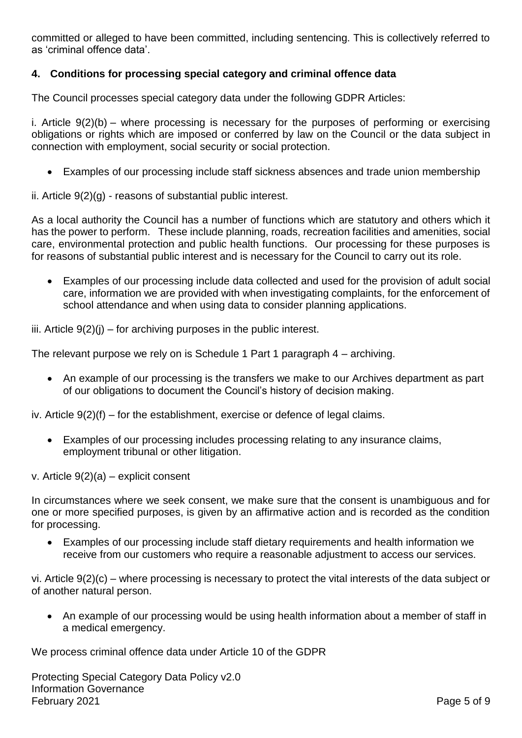committed or alleged to have been committed, including sentencing. This is collectively referred to as 'criminal offence data'.

#### <span id="page-4-0"></span>**4. Conditions for processing special category and criminal offence data**

The Council processes special category data under the following GDPR Articles:

i. Article 9(2)(b) – where processing is necessary for the purposes of performing or exercising obligations or rights which are imposed or conferred by law on the Council or the data subject in connection with employment, social security or social protection.

Examples of our processing include staff sickness absences and trade union membership

ii. Article 9(2)(g) - reasons of substantial public interest.

As a local authority the Council has a number of functions which are statutory and others which it has the power to perform. These include planning, roads, recreation facilities and amenities, social care, environmental protection and public health functions. Our processing for these purposes is for reasons of substantial public interest and is necessary for the Council to carry out its role.

 Examples of our processing include data collected and used for the provision of adult social care, information we are provided with when investigating complaints, for the enforcement of school attendance and when using data to consider planning applications.

iii. Article  $9(2)(i)$  – for archiving purposes in the public interest.

The relevant purpose we rely on is Schedule 1 Part 1 paragraph 4 – archiving.

 An example of our processing is the transfers we make to our Archives department as part of our obligations to document the Council's history of decision making.

iv. Article  $9(2)(f)$  – for the establishment, exercise or defence of legal claims.

 Examples of our processing includes processing relating to any insurance claims, employment tribunal or other litigation.

v. Article 9(2)(a) – explicit consent

In circumstances where we seek consent, we make sure that the consent is unambiguous and for one or more specified purposes, is given by an affirmative action and is recorded as the condition for processing.

 Examples of our processing include staff dietary requirements and health information we receive from our customers who require a reasonable adjustment to access our services.

vi. Article 9(2)(c) – where processing is necessary to protect the vital interests of the data subject or of another natural person.

• An example of our processing would be using health information about a member of staff in a medical emergency.

We process criminal offence data under Article 10 of the GDPR

Protecting Special Category Data Policy v2.0 Information Governance February 2021 **Page 5 of 9**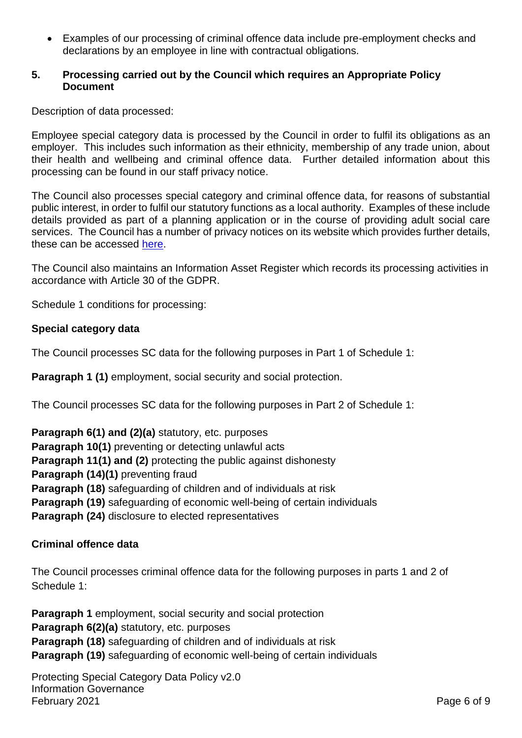Examples of our processing of criminal offence data include pre-employment checks and declarations by an employee in line with contractual obligations.

#### <span id="page-5-0"></span>**5. Processing carried out by the Council which requires an Appropriate Policy Document**

Description of data processed:

Employee special category data is processed by the Council in order to fulfil its obligations as an employer. This includes such information as their ethnicity, membership of any trade union, about their health and wellbeing and criminal offence data. Further detailed information about this processing can be found in our staff privacy notice.

The Council also processes special category and criminal offence data, for reasons of substantial public interest, in order to fulfil our statutory functions as a local authority. Examples of these include details provided as part of a planning application or in the course of providing adult social care services. The Council has a number of privacy notices on its website which provides further details, these can be accessed [here.](https://www.doncaster.gov.uk/services/the-council-democracy/privacy)

The Council also maintains an Information Asset Register which records its processing activities in accordance with Article 30 of the GDPR.

Schedule 1 conditions for processing:

#### **Special category data**

The Council processes SC data for the following purposes in Part 1 of Schedule 1:

**Paragraph 1 (1)** employment, social security and social protection.

The Council processes SC data for the following purposes in Part 2 of Schedule 1:

**Paragraph 6(1) and (2)(a)** statutory, etc. purposes **Paragraph 10(1)** preventing or detecting unlawful acts **Paragraph 11(1) and (2)** protecting the public against dishonesty **Paragraph (14)(1)** preventing fraud **Paragraph (18)** safeguarding of children and of individuals at risk **Paragraph (19)** safeguarding of economic well-being of certain individuals **Paragraph (24)** disclosure to elected representatives

#### **Criminal offence data**

The Council processes criminal offence data for the following purposes in parts 1 and 2 of Schedule 1:

**Paragraph 1** employment, social security and social protection **Paragraph 6(2)(a)** statutory, etc. purposes **Paragraph (18)** safeguarding of children and of individuals at risk **Paragraph (19)** safeguarding of economic well-being of certain individuals

Protecting Special Category Data Policy v2.0 Information Governance February 2021 **Page 6 of 9**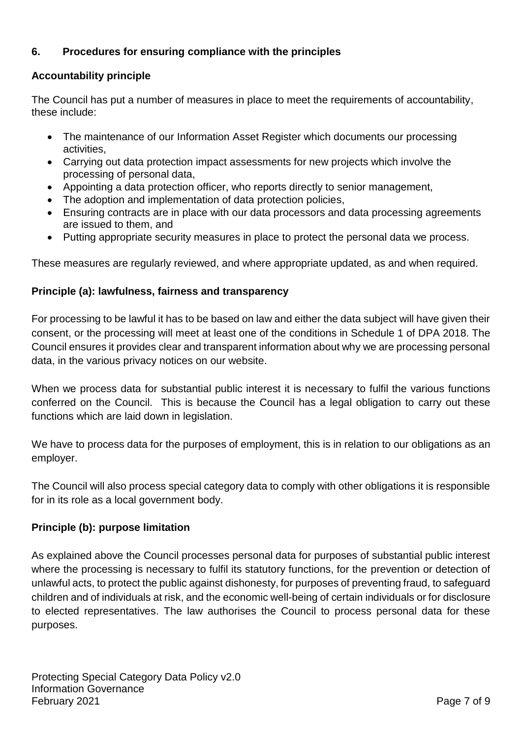#### <span id="page-6-0"></span>**6. Procedures for ensuring compliance with the principles**

#### **Accountability principle**

The Council has put a number of measures in place to meet the requirements of accountability, these include:

- The maintenance of our Information Asset Register which documents our processing activities,
- Carrying out data protection impact assessments for new projects which involve the processing of personal data,
- Appointing a data protection officer, who reports directly to senior management,
- The adoption and implementation of data protection policies,
- Ensuring contracts are in place with our data processors and data processing agreements are issued to them, and
- Putting appropriate security measures in place to protect the personal data we process.

These measures are regularly reviewed, and where appropriate updated, as and when required.

#### **Principle (a): lawfulness, fairness and transparency**

For processing to be lawful it has to be based on law and either the data subject will have given their consent, or the processing will meet at least one of the conditions in Schedule 1 of DPA 2018. The Council ensures it provides clear and transparent information about why we are processing personal data, in the various privacy notices on our website.

When we process data for substantial public interest it is necessary to fulfil the various functions conferred on the Council. This is because the Council has a legal obligation to carry out these functions which are laid down in legislation.

We have to process data for the purposes of employment, this is in relation to our obligations as an employer.

The Council will also process special category data to comply with other obligations it is responsible for in its role as a local government body.

#### **Principle (b): purpose limitation**

As explained above the Council processes personal data for purposes of substantial public interest where the processing is necessary to fulfil its statutory functions, for the prevention or detection of unlawful acts, to protect the public against dishonesty, for purposes of preventing fraud, to safeguard children and of individuals at risk, and the economic well-being of certain individuals or for disclosure to elected representatives. The law authorises the Council to process personal data for these purposes.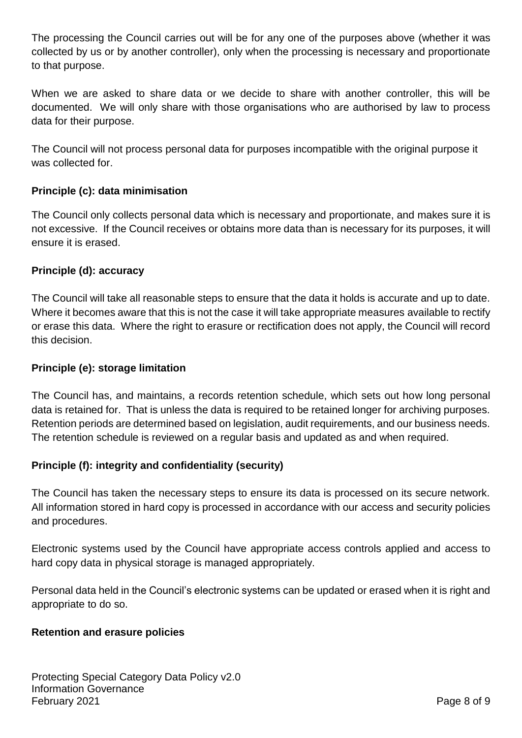The processing the Council carries out will be for any one of the purposes above (whether it was collected by us or by another controller), only when the processing is necessary and proportionate to that purpose.

When we are asked to share data or we decide to share with another controller, this will be documented. We will only share with those organisations who are authorised by law to process data for their purpose.

The Council will not process personal data for purposes incompatible with the original purpose it was collected for

#### **Principle (c): data minimisation**

The Council only collects personal data which is necessary and proportionate, and makes sure it is not excessive. If the Council receives or obtains more data than is necessary for its purposes, it will ensure it is erased.

#### **Principle (d): accuracy**

The Council will take all reasonable steps to ensure that the data it holds is accurate and up to date. Where it becomes aware that this is not the case it will take appropriate measures available to rectify or erase this data. Where the right to erasure or rectification does not apply, the Council will record this decision.

#### **Principle (e): storage limitation**

The Council has, and maintains, a records retention schedule, which sets out how long personal data is retained for. That is unless the data is required to be retained longer for archiving purposes. Retention periods are determined based on legislation, audit requirements, and our business needs. The retention schedule is reviewed on a regular basis and updated as and when required.

#### **Principle (f): integrity and confidentiality (security)**

The Council has taken the necessary steps to ensure its data is processed on its secure network. All information stored in hard copy is processed in accordance with our access and security policies and procedures.

Electronic systems used by the Council have appropriate access controls applied and access to hard copy data in physical storage is managed appropriately.

Personal data held in the Council's electronic systems can be updated or erased when it is right and appropriate to do so.

#### **Retention and erasure policies**